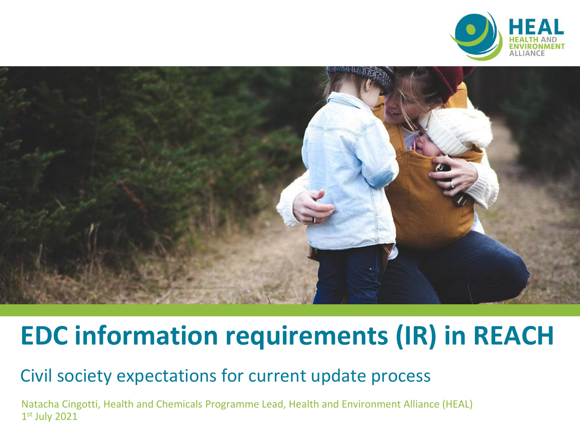



# **EDC information requirements (IR) in REACH**

#### Civil society expectations for current update process

Natacha Cingotti, Health and Chemicals Programme Lead, Health and Environment Alliance (HEAL) 1 st July 2021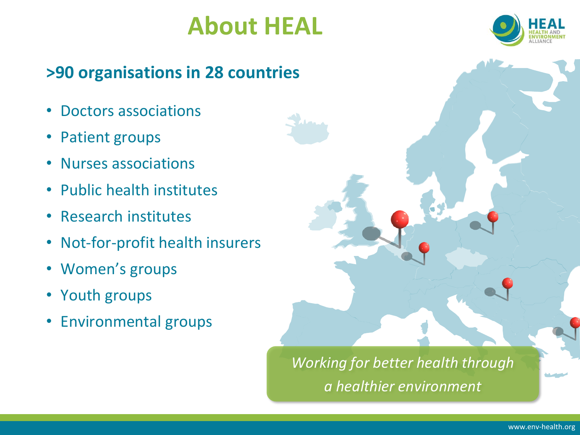## **About HEAL**

## **>90 organisations in 28 countries**

- Doctors associations
- Patient groups
- Nurses associations
- Public health institutes
- Research institutes
- Not-for-profit health insurers
- Women's groups
- Youth groups
- Environmental groups

*Working for better health through a healthier environment*

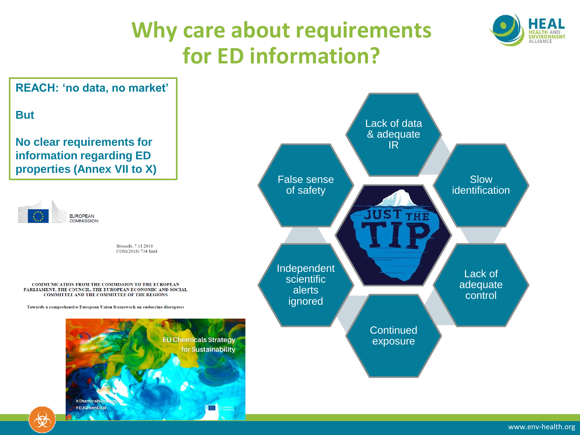## **Why care about requirements for ED information?**





#Chemicals #EUGreenDeal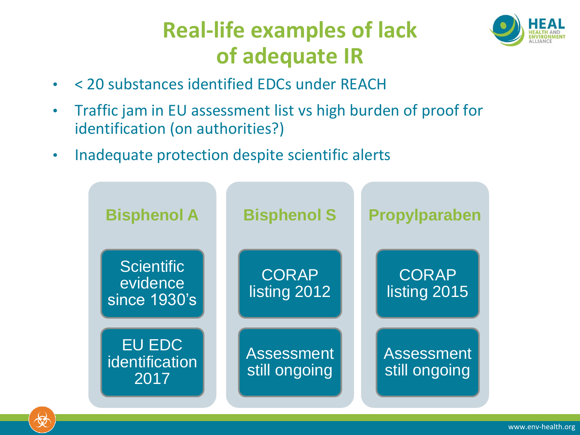## **Real-life examples of lack of adequate IR**



- < 20 substances identified EDCs under REACH
- Traffic jam in EU assessment list vs high burden of proof for identification (on authorities?)
- Inadequate protection despite scientific alerts

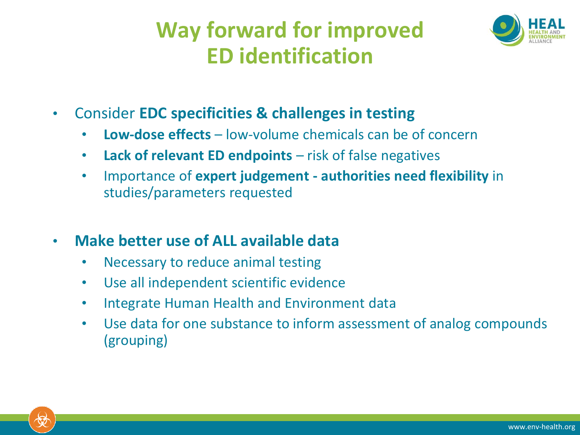## **Way forward for improved ED identification**

![](_page_4_Picture_1.jpeg)

- Consider **EDC specificities & challenges in testing**
	- **Low-dose effects** low-volume chemicals can be of concern
	- **Lack of relevant ED endpoints**  risk of false negatives
	- Importance of **expert judgement - authorities need flexibility** in studies/parameters requested
- **Make better use of ALL available data**
	- Necessary to reduce animal testing
	- Use all independent scientific evidence
	- Integrate Human Health and Environment data
	- Use data for one substance to inform assessment of analog compounds (grouping)

![](_page_4_Picture_11.jpeg)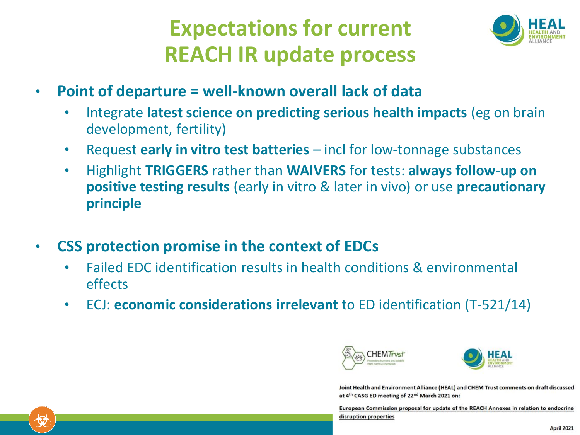### **Expectations for current REACH IR update process**

![](_page_5_Picture_1.jpeg)

- **Point of departure = well-known overall lack of data**
	- Integrate **latest science on predicting serious health impacts** (eg on brain development, fertility)
	- Request **early in vitro test batteries**  incl for low-tonnage substances
	- Highlight **TRIGGERS** rather than **WAIVERS** for tests: **always follow-up on positive testing results** (early in vitro & later in vivo) or use **precautionary principle**
- **CSS protection promise in the context of EDCs**
	- Failed EDC identification results in health conditions & environmental effects
	- ECJ: **economic considerations irrelevant** to ED identification (T-521/14)

![](_page_5_Picture_9.jpeg)

![](_page_5_Picture_10.jpeg)

Joint Health and Environment Alliance (HEAL) and CHEM Trust comments on draft discussed at 4th CASG ED meeting of 22<sup>nd</sup> March 2021 on:

European Commission proposal for update of the REACH Annexes in relation to endocrine disruption properties

![](_page_5_Picture_13.jpeg)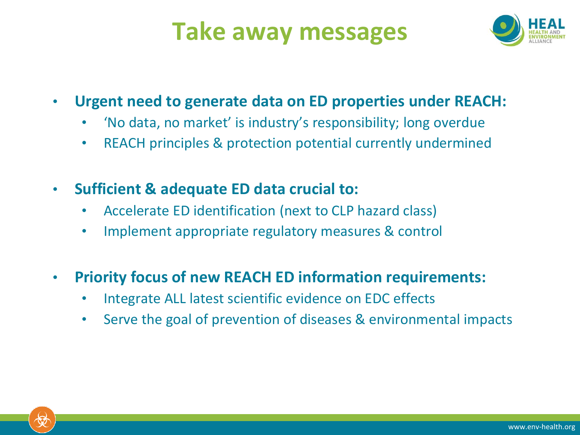# **Take away messages**

![](_page_6_Picture_1.jpeg)

#### • **Urgent need to generate data on ED properties under REACH:**

- 'No data, no market' is industry's responsibility; long overdue
- REACH principles & protection potential currently undermined
- **Sufficient & adequate ED data crucial to:**
	- Accelerate ED identification (next to CLP hazard class)
	- Implement appropriate regulatory measures & control

#### • **Priority focus of new REACH ED information requirements:**

- Integrate ALL latest scientific evidence on EDC effects
- Serve the goal of prevention of diseases & environmental impacts

![](_page_6_Picture_11.jpeg)